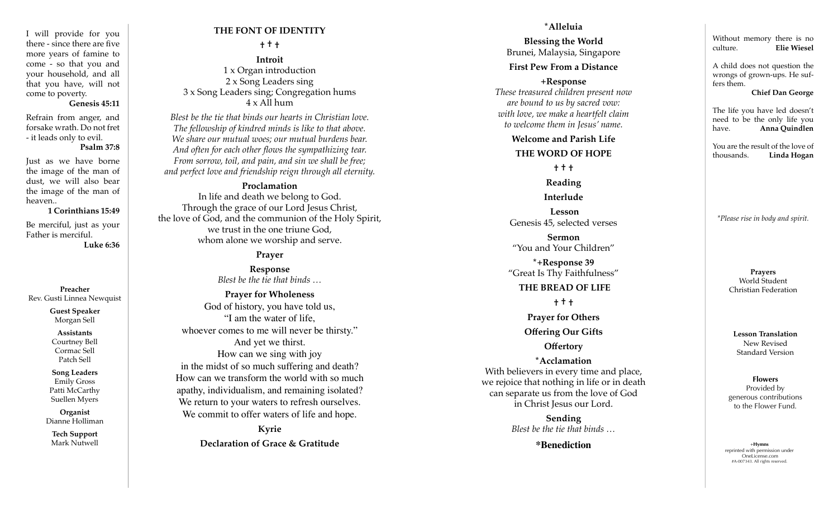I will provide for you there - since there are five more years of famine to come - so that you and your household, and all that you have, will not come to poverty.

#### **Genesis 45:11**

Refrain from anger, and forsake wrath. Do not fret - it leads only to evil.

## **Psalm 37:8**

Just as we have borne the image of the man of dust, we will also bear the image of the man of heaven..

#### **1 Corinthians 15:49**

Be merciful, just as your Father is merciful. **Luke 6:36**

**Preacher** Rev. Gusti Linnea Newquist

> **Guest Speaker** Morgan Sell

#### **Assistants**

Courtney Bell Cormac Sell Patch Sell

**Song Leaders** Emily Gross Patti McCarthy Suellen Myers

**Organist** Dianne Holliman

**Tech Support** Mark Nutwell

# **THE FONT OF IDENTITY**

**† † †**

**Introit**  1 x Organ introduction 2 x Song Leaders sing 3 x Song Leaders sing; Congregation hums  $4 \times$  All hum

*Blest be the tie that binds our hearts in Christian love. The fellowship of kindred minds is like to that above. We share our mutual woes; our mutual burdens bear. And often for each other flows the sympathizing tear. From sorrow, toil, and pain, and sin we shall be free; and perfect love and friendship reign through all eternity.*

## **Proclamation**

In life and death we belong to God. Through the grace of our Lord Jesus Christ, the love of God, and the communion of the Holy Spirit, we trust in the one triune God, whom alone we worship and serve.

## **Prayer**

**Response** *Blest be the tie that binds …*

**Prayer for Wholeness** God of history, you have told us, "I am the water of life, whoever comes to me will never be thirsty." And yet we thirst. How can we sing with joy in the midst of so much suffering and death? How can we transform the world with so much apathy, individualism, and remaining isolated? We return to your waters to refresh ourselves. We commit to offer waters of life and hope.

> **Kyrie Declaration of Grace & Gratitude**

#### **\*Alleluia**

**Blessing the World** Brunei, Malaysia, Singapore

## **First Pew From a Distance**

**+Response**  *These treasured children present now are bound to us by sacred vow: with love, we make a heartfelt claim to welcome them in Jesus' name.* 

> **Welcome and Parish Life THE WORD OF HOPE**

**† † †**

# **Reading**

**Interlude**

**Lesson** Genesis 45, selected verses

**Sermon** "You and Your Children"

**\*+Response 39** "Great Is Thy Faithfulness"

#### **THE BREAD OF LIFE**

**† † †**

**Prayer for Others** 

**Offering Our Gifts**

## **Offertory**

**\*Acclamation** With believers in every time and place, we rejoice that nothing in life or in death can separate us from the love of God in Christ Jesus our Lord.

> **Sending**  *Blest be the tie that binds …*

> > **\*Benediction**

Without memory there is no culture. **Elie Wiesel**

A child does not question the wrongs of grown-ups. He suf fers them.

**Chief Dan George**

The life you have led doesn't need to be the only life you have. **Anna Quindlen**

You are the result of the love of<br>thousands. **Linda Hogan Linda Hogan** 

*\*Please rise in body and spirit.*

**Prayers** World Student Christian Federation

**Lesson Translation** New Revised Standard Version

**Flowers** Provided by generous contributions to the Flower Fund.

+**Hymns** reprinted with permission under OneLicense.com #A-007343. All rights reserved.